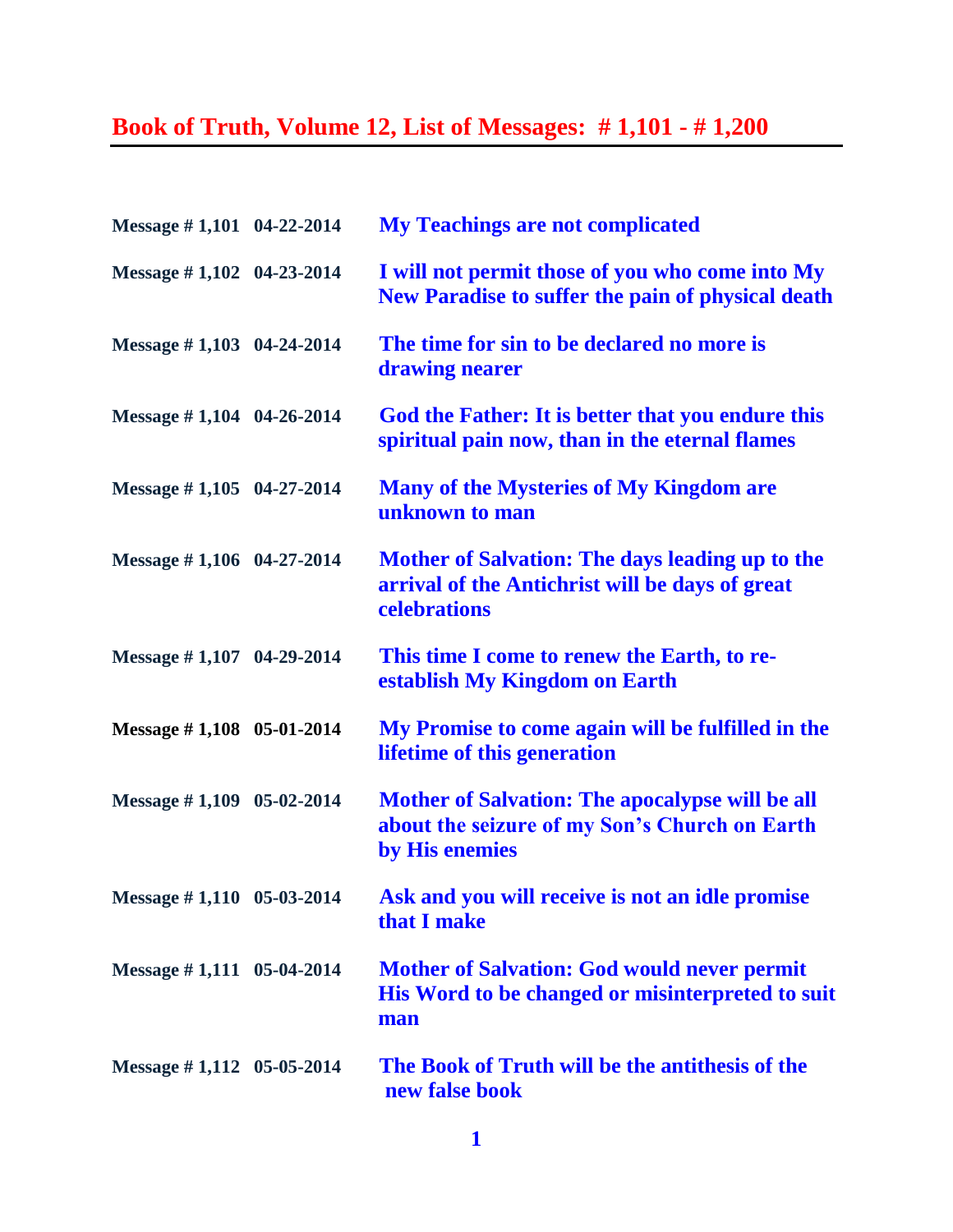## **Book of Truth, Volume 12, List of Messages: # 1,101 - # 1,200**

| Message #1,101 04-22-2014     | <b>My Teachings are not complicated</b>                                                                                   |
|-------------------------------|---------------------------------------------------------------------------------------------------------------------------|
| Message $\#$ 1,102 04-23-2014 | I will not permit those of you who come into My<br>New Paradise to suffer the pain of physical death                      |
| Message $\#$ 1,103 04-24-2014 | The time for sin to be declared no more is<br>drawing nearer                                                              |
| Message $\#$ 1,104 04-26-2014 | God the Father: It is better that you endure this<br>spiritual pain now, than in the eternal flames                       |
| Message $\#$ 1,105 04-27-2014 | <b>Many of the Mysteries of My Kingdom are</b><br>unknown to man                                                          |
| Message #1,106 04-27-2014     | Mother of Salvation: The days leading up to the<br>arrival of the Antichrist will be days of great<br>celebrations        |
| Message #1,107 04-29-2014     | This time I come to renew the Earth, to re-<br>establish My Kingdom on Earth                                              |
| Message $\#$ 1,108 05-01-2014 | My Promise to come again will be fulfilled in the<br>lifetime of this generation                                          |
| Message $\#$ 1,109 05-02-2014 | <b>Mother of Salvation: The apocalypse will be all</b><br>about the seizure of my Son's Church on Earth<br>by His enemies |
| Message #1,110 05-03-2014     | Ask and you will receive is not an idle promise<br>that I make                                                            |
| Message $\#$ 1,111 05-04-2014 | <b>Mother of Salvation: God would never permit</b><br>His Word to be changed or misinterpreted to suit<br>man             |
| Message $\#$ 1,112 05-05-2014 | The Book of Truth will be the antithesis of the<br>new false book                                                         |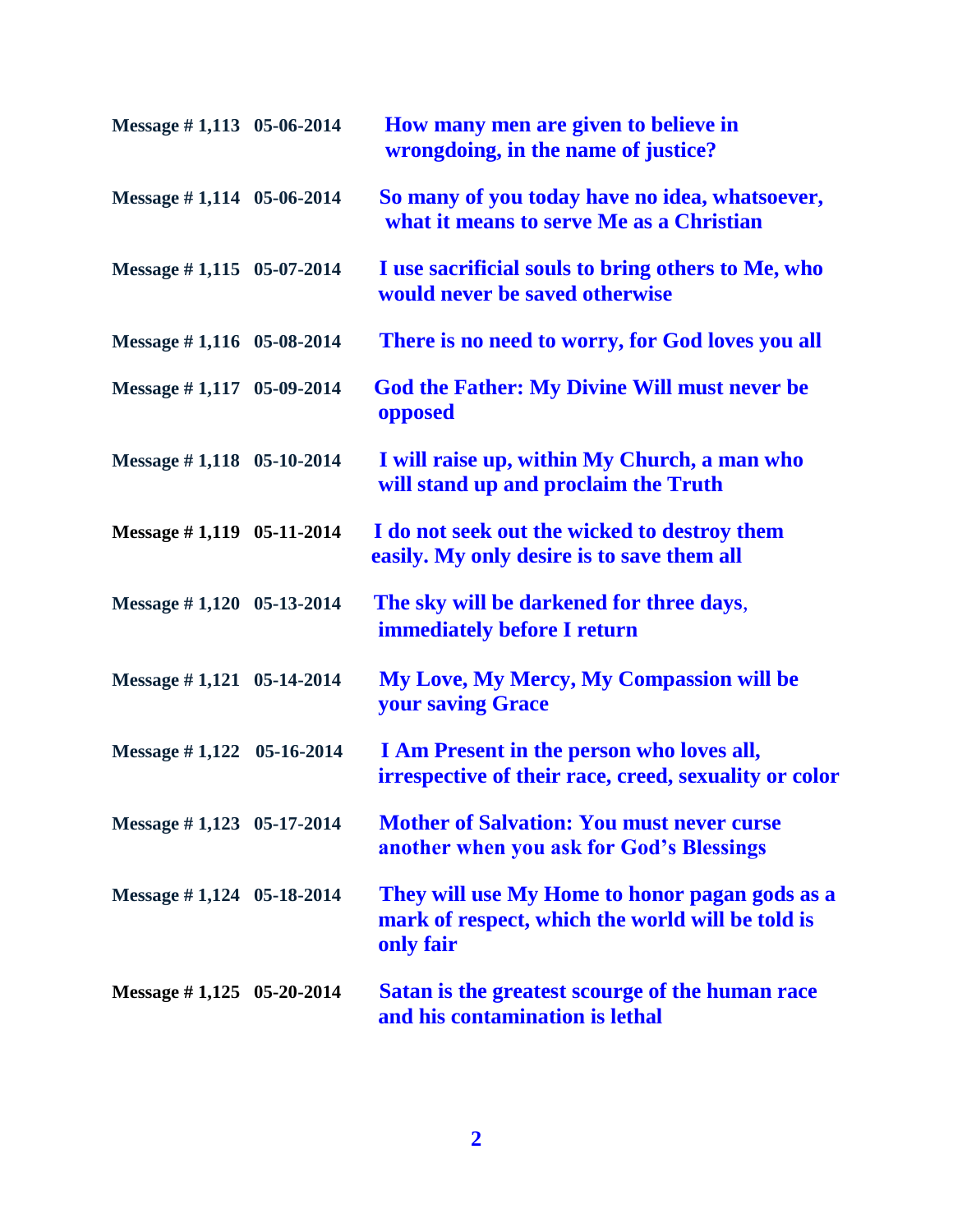| Message $\#$ 1,113 05-06-2014 | How many men are given to believe in<br>wrongdoing, in the name of justice?                                     |
|-------------------------------|-----------------------------------------------------------------------------------------------------------------|
| Message #1,114 05-06-2014     | So many of you today have no idea, whatsoever,<br>what it means to serve Me as a Christian                      |
| Message $\#$ 1,115 05-07-2014 | I use sacrificial souls to bring others to Me, who<br>would never be saved otherwise                            |
| Message $\#$ 1,116 05-08-2014 | There is no need to worry, for God loves you all                                                                |
| Message $\#$ 1,117 05-09-2014 | <b>God the Father: My Divine Will must never be</b><br>opposed                                                  |
| Message $\#$ 1,118 05-10-2014 | I will raise up, within My Church, a man who<br>will stand up and proclaim the Truth                            |
| Message $\#$ 1,119 05-11-2014 | I do not seek out the wicked to destroy them<br>easily. My only desire is to save them all                      |
| Message $\#$ 1,120 05-13-2014 | The sky will be darkened for three days,<br><b>immediately before I return</b>                                  |
| Message $\#$ 1,121 05-14-2014 | <b>My Love, My Mercy, My Compassion will be</b><br><b>your saving Grace</b>                                     |
| Message #1,122 05-16-2014     | I Am Present in the person who loves all,<br>irrespective of their race, creed, sexuality or color              |
| Message #1,123 05-17-2014     | <b>Mother of Salvation: You must never curse</b><br>another when you ask for God's Blessings                    |
| Message $\#$ 1,124 05-18-2014 | They will use My Home to honor pagan gods as a<br>mark of respect, which the world will be told is<br>only fair |
| Message $\#$ 1,125 05-20-2014 | Satan is the greatest scourge of the human race<br>and his contamination is lethal                              |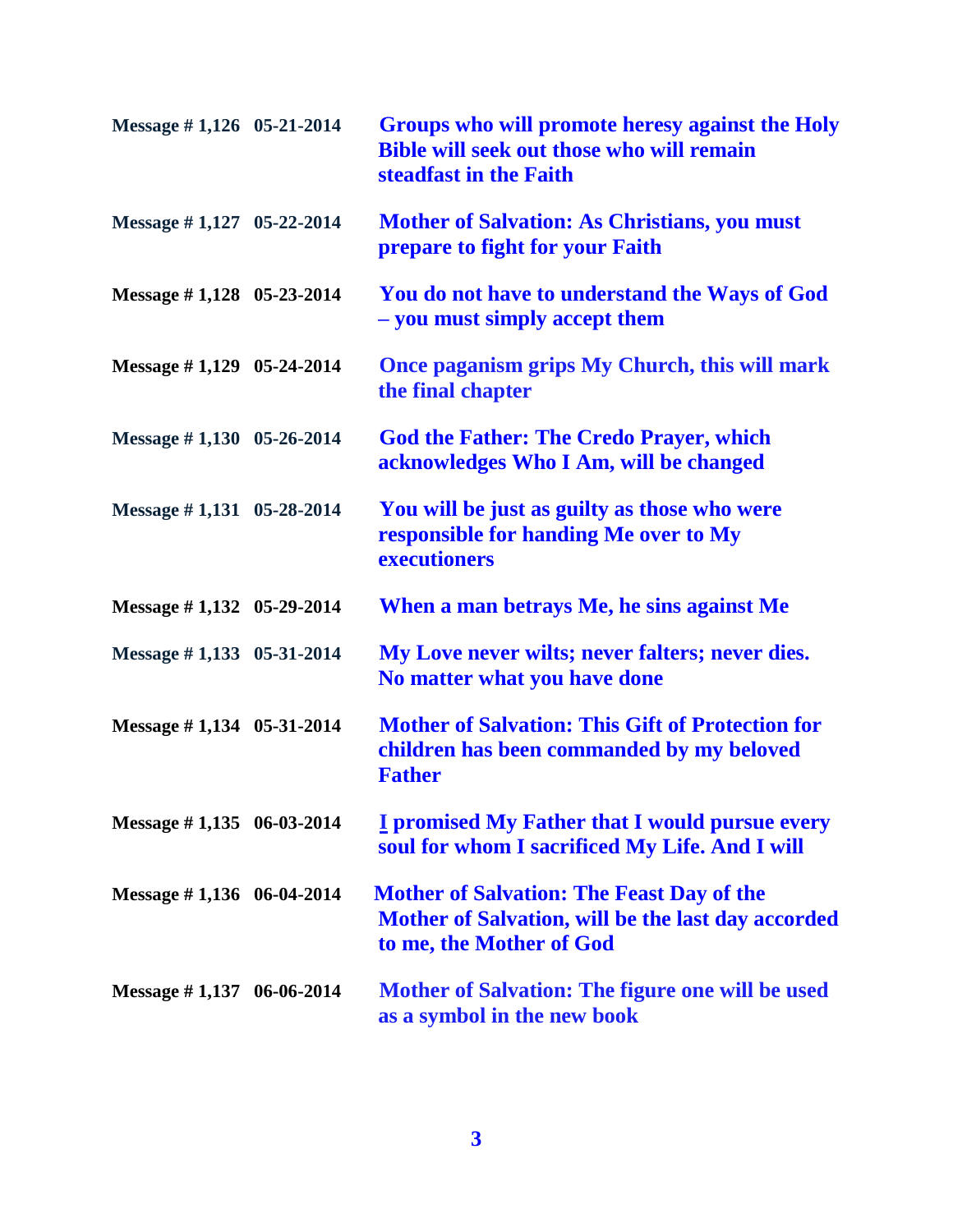| Message $\#$ 1,126 05-21-2014 | Groups who will promote heresy against the Holy<br><b>Bible will seek out those who will remain</b><br>steadfast in the Faith      |
|-------------------------------|------------------------------------------------------------------------------------------------------------------------------------|
| Message #1,127 05-22-2014     | <b>Mother of Salvation: As Christians, you must</b><br>prepare to fight for your Faith                                             |
| Message $\#$ 1,128 05-23-2014 | You do not have to understand the Ways of God<br>- you must simply accept them                                                     |
| Message $\#$ 1,129 05-24-2014 | Once paganism grips My Church, this will mark<br>the final chapter                                                                 |
| Message $\#$ 1,130 05-26-2014 | <b>God the Father: The Credo Prayer, which</b><br>acknowledges Who I Am, will be changed                                           |
| Message #1,131 05-28-2014     | You will be just as guilty as those who were<br>responsible for handing Me over to My<br>executioners                              |
| Message $\#$ 1,132 05-29-2014 | When a man betrays Me, he sins against Me                                                                                          |
| Message $\#$ 1,133 05-31-2014 | My Love never wilts; never falters; never dies.<br>No matter what you have done                                                    |
| Message $\#$ 1,134 05-31-2014 | <b>Mother of Salvation: This Gift of Protection for</b><br>children has been commanded by my beloved<br><b>Father</b>              |
| Message $\#$ 1,135 06-03-2014 | <b>I</b> promised My Father that I would pursue every<br>soul for whom I sacrificed My Life. And I will                            |
| Message $\#$ 1,136 06-04-2014 | <b>Mother of Salvation: The Feast Day of the</b><br>Mother of Salvation, will be the last day accorded<br>to me, the Mother of God |
| Message $\#$ 1,137 06-06-2014 | Mother of Salvation: The figure one will be used<br>as a symbol in the new book                                                    |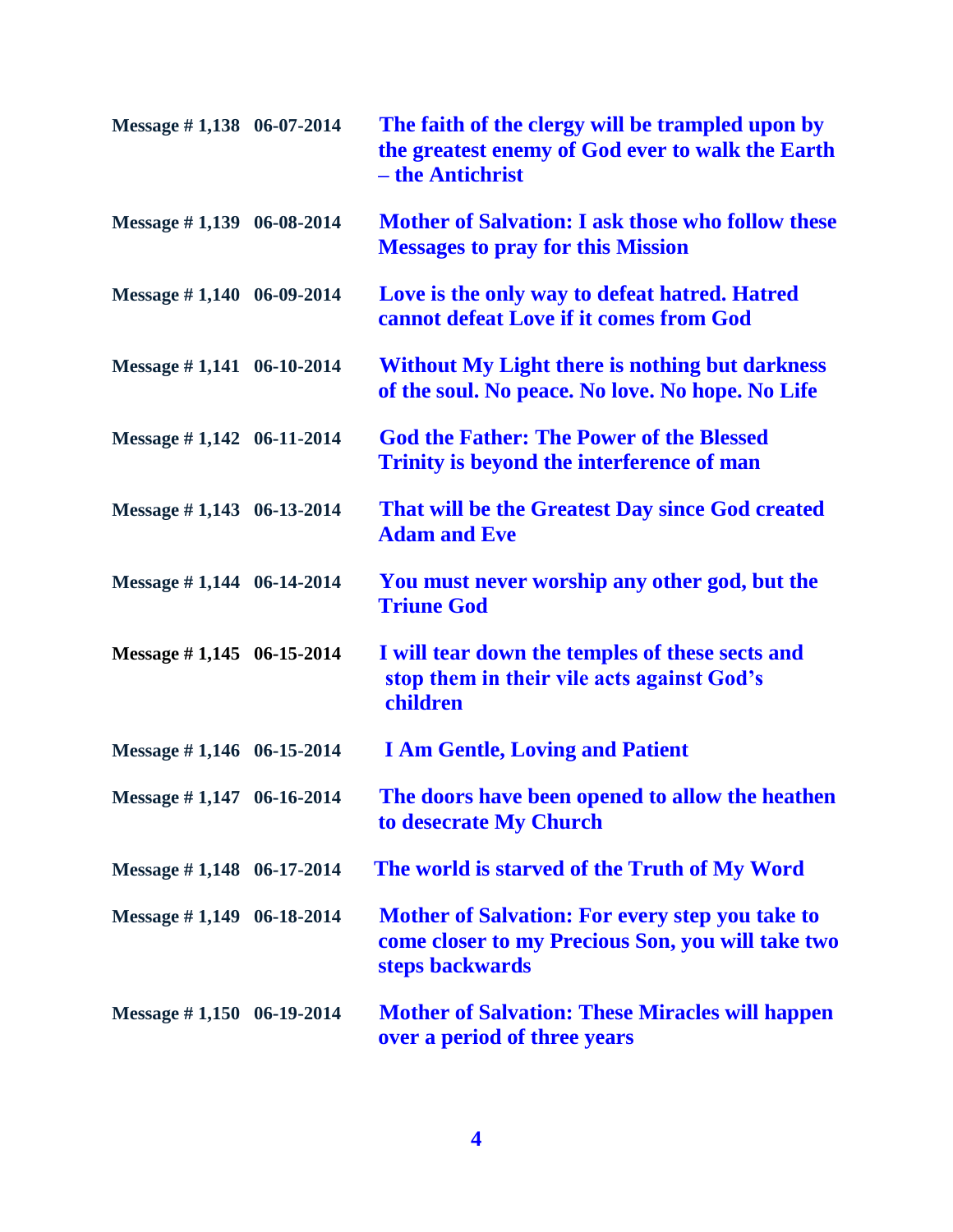| Message #1,138 06-07-2014     | The faith of the clergy will be trampled upon by<br>the greatest enemy of God ever to walk the Earth<br>– the Antichrist       |
|-------------------------------|--------------------------------------------------------------------------------------------------------------------------------|
| Message $\#$ 1,139 06-08-2014 | <b>Mother of Salvation: I ask those who follow these</b><br><b>Messages to pray for this Mission</b>                           |
| Message $\#$ 1,140 06-09-2014 | Love is the only way to defeat hatred. Hatred<br>cannot defeat Love if it comes from God                                       |
| Message $\#$ 1,141 06-10-2014 | <b>Without My Light there is nothing but darkness</b><br>of the soul. No peace. No love. No hope. No Life                      |
| Message $\#$ 1,142 06-11-2014 | <b>God the Father: The Power of the Blessed</b><br>Trinity is beyond the interference of man                                   |
| Message #1,143 06-13-2014     | That will be the Greatest Day since God created<br><b>Adam and Eve</b>                                                         |
| Message $\#$ 1,144 06-14-2014 | You must never worship any other god, but the<br><b>Triune God</b>                                                             |
| Message $\#$ 1,145 06-15-2014 | I will tear down the temples of these sects and<br>stop them in their vile acts against God's<br>children                      |
| Message $\#$ 1,146 06-15-2014 | <b>I Am Gentle, Loving and Patient</b>                                                                                         |
| Message #1,147 06-16-2014     | The doors have been opened to allow the heathen<br>to desecrate My Church                                                      |
| Message $\#$ 1,148 06-17-2014 | The world is starved of the Truth of My Word                                                                                   |
| Message $\#$ 1,149 06-18-2014 | <b>Mother of Salvation: For every step you take to</b><br>come closer to my Precious Son, you will take two<br>steps backwards |
| Message $\#$ 1,150 06-19-2014 | <b>Mother of Salvation: These Miracles will happen</b><br>over a period of three years                                         |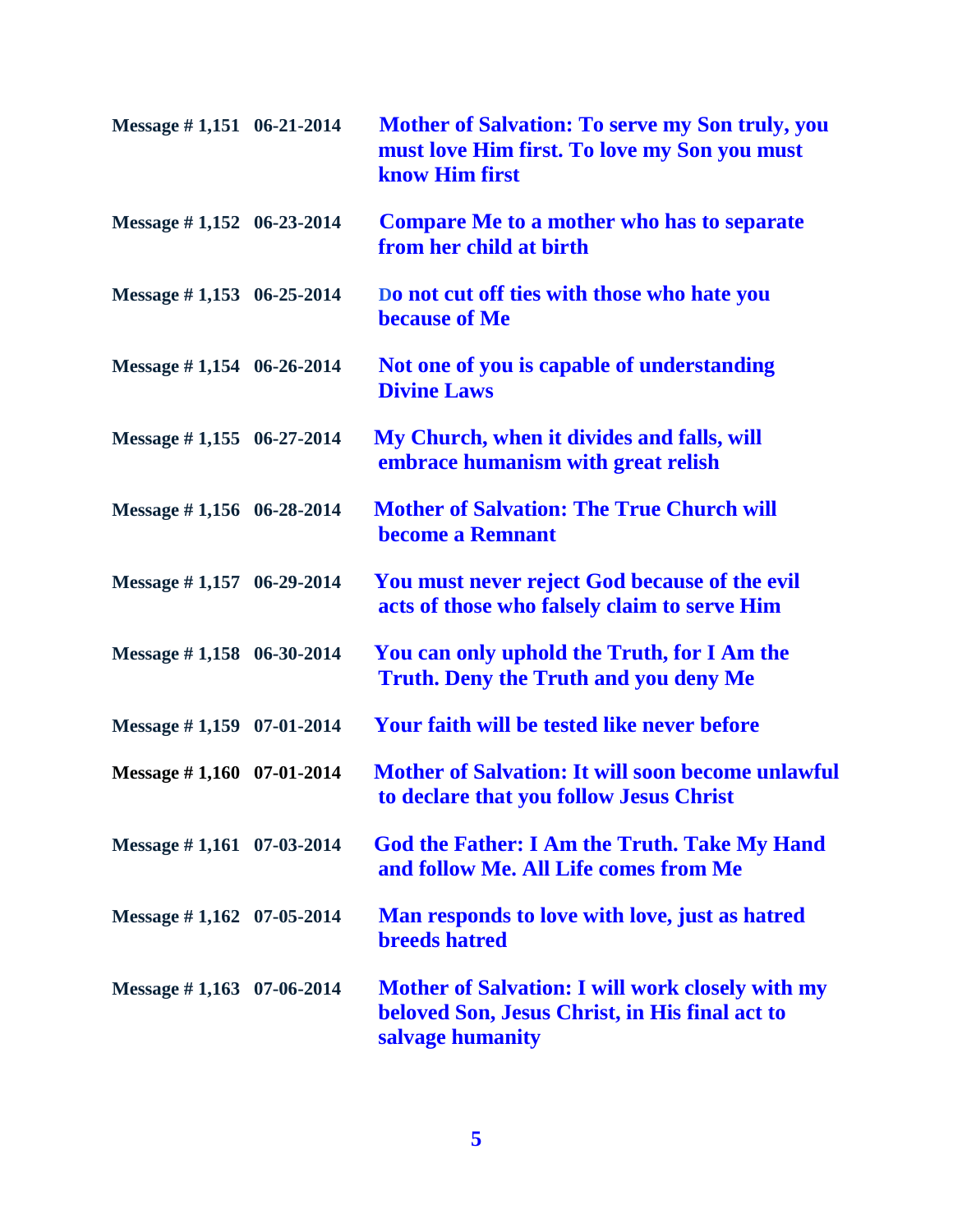| Message $\#$ 1,151 06-21-2014 | <b>Mother of Salvation: To serve my Son truly, you</b><br>must love Him first. To love my Son you must<br>know Him first      |
|-------------------------------|-------------------------------------------------------------------------------------------------------------------------------|
| Message $\#$ 1,152 06-23-2014 | <b>Compare Me to a mother who has to separate</b><br>from her child at birth                                                  |
| Message $\#$ 1,153 06-25-2014 | Do not cut off ties with those who hate you<br><b>because of Me</b>                                                           |
| Message $\#$ 1,154 06-26-2014 | Not one of you is capable of understanding<br><b>Divine Laws</b>                                                              |
| Message $\#$ 1,155 06-27-2014 | My Church, when it divides and falls, will<br>embrace humanism with great relish                                              |
| Message $\#$ 1,156 06-28-2014 | <b>Mother of Salvation: The True Church will</b><br>become a Remnant                                                          |
| Message #1,157 06-29-2014     | You must never reject God because of the evil<br>acts of those who falsely claim to serve Him                                 |
| Message #1,158 06-30-2014     | You can only uphold the Truth, for I Am the<br><b>Truth. Deny the Truth and you deny Me</b>                                   |
| Message $\#$ 1,159 07-01-2014 | Your faith will be tested like never before                                                                                   |
| Message $\#$ 1,160 07-01-2014 | <b>Mother of Salvation: It will soon become unlawful</b><br>to declare that you follow Jesus Christ                           |
| Message $\#$ 1,161 07-03-2014 | <b>God the Father: I Am the Truth. Take My Hand</b><br>and follow Me. All Life comes from Me                                  |
| Message $\#$ 1,162 07-05-2014 | Man responds to love with love, just as hatred<br><b>breeds</b> hatred                                                        |
| Message $\#$ 1,163 07-06-2014 | <b>Mother of Salvation: I will work closely with my</b><br>beloved Son, Jesus Christ, in His final act to<br>salvage humanity |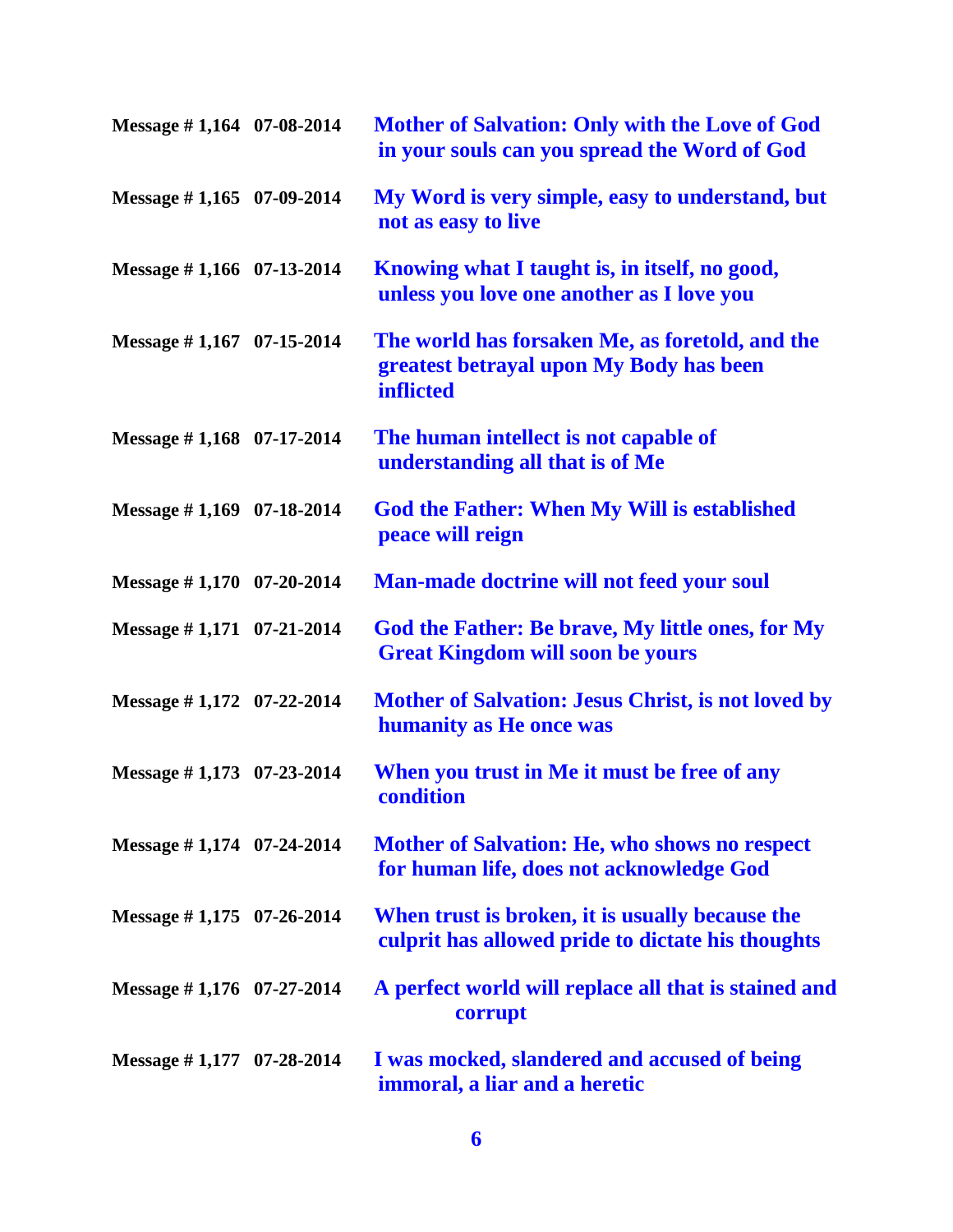| Message $\#$ 1,164 07-08-2014 | <b>Mother of Salvation: Only with the Love of God</b><br>in your souls can you spread the Word of God          |
|-------------------------------|----------------------------------------------------------------------------------------------------------------|
| Message $\#$ 1,165 07-09-2014 | My Word is very simple, easy to understand, but<br>not as easy to live                                         |
| Message #1,166 07-13-2014     | Knowing what I taught is, in itself, no good,<br>unless you love one another as I love you                     |
| Message $\#$ 1,167 07-15-2014 | The world has forsaken Me, as foretold, and the<br>greatest betrayal upon My Body has been<br><b>inflicted</b> |
| Message $\#$ 1,168 07-17-2014 | The human intellect is not capable of<br>understanding all that is of Me                                       |
| Message $\#$ 1,169 07-18-2014 | <b>God the Father: When My Will is established</b><br>peace will reign                                         |
| Message $\#$ 1,170 07-20-2014 | Man-made doctrine will not feed your soul                                                                      |
| Message $\#$ 1,171 07-21-2014 | God the Father: Be brave, My little ones, for My<br><b>Great Kingdom will soon be yours</b>                    |
| Message #1,172 07-22-2014     | <b>Mother of Salvation: Jesus Christ, is not loved by</b><br>humanity as He once was                           |
| Message #1,173 07-23-2014     | When you trust in Me it must be free of any<br>condition                                                       |
| Message $\#$ 1,174 07-24-2014 | <b>Mother of Salvation: He, who shows no respect</b><br>for human life, does not acknowledge God               |
| Message $\#$ 1,175 07-26-2014 | When trust is broken, it is usually because the<br>culprit has allowed pride to dictate his thoughts           |
| Message $\#$ 1,176 07-27-2014 | A perfect world will replace all that is stained and<br>corrupt                                                |
| Message $\#$ 1,177 07-28-2014 | I was mocked, slandered and accused of being<br>immoral, a liar and a heretic                                  |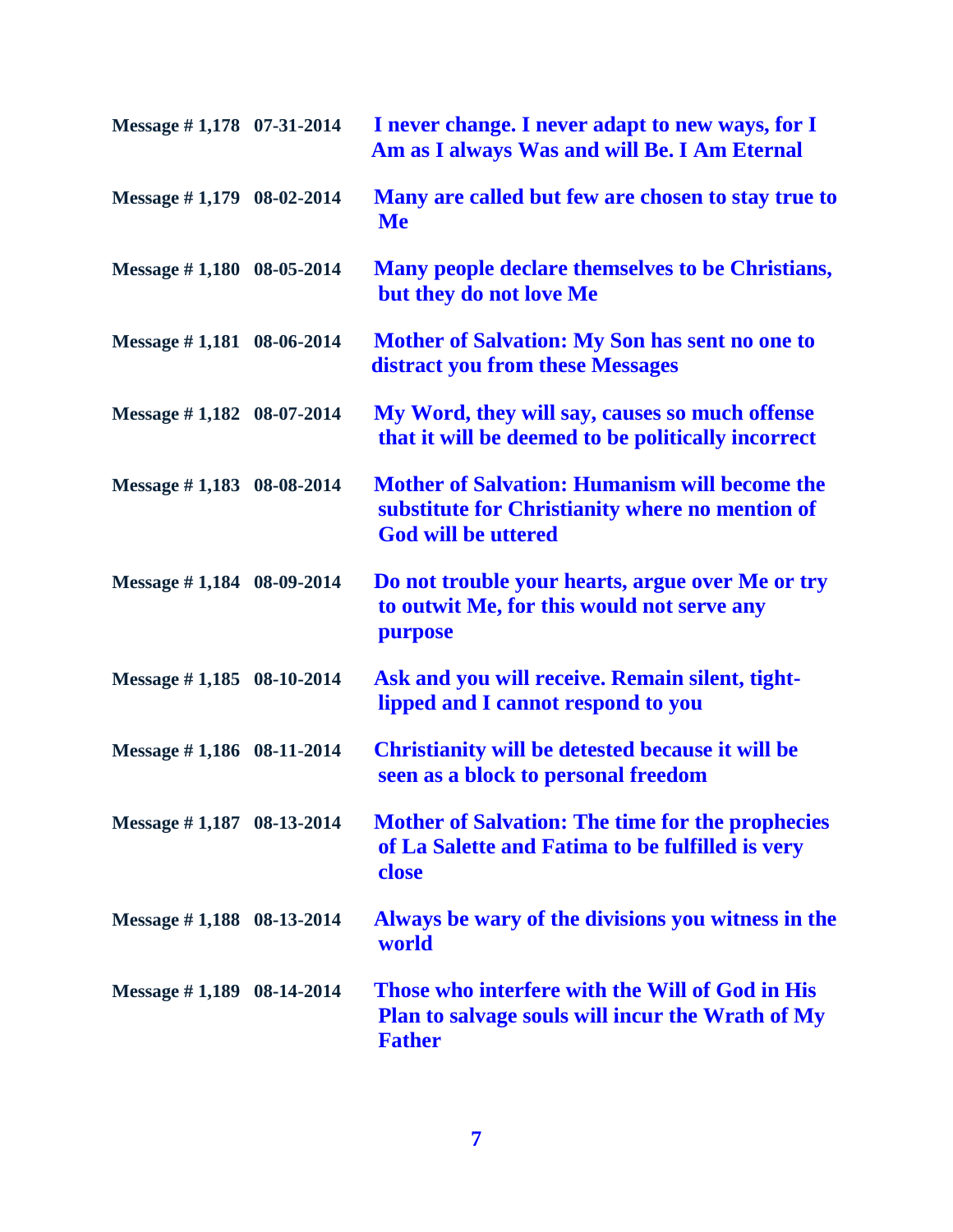| Message #1,178 07-31-2014     | I never change. I never adapt to new ways, for I<br>Am as I always Was and will Be. I Am Eternal                                      |
|-------------------------------|---------------------------------------------------------------------------------------------------------------------------------------|
| Message #1,179 08-02-2014     | Many are called but few are chosen to stay true to<br><b>Me</b>                                                                       |
| Message $\#$ 1,180 08-05-2014 | Many people declare themselves to be Christians,<br>but they do not love Me                                                           |
| Message $\#$ 1,181 08-06-2014 | <b>Mother of Salvation: My Son has sent no one to</b><br>distract you from these Messages                                             |
| Message #1,182 08-07-2014     | My Word, they will say, causes so much offense<br>that it will be deemed to be politically incorrect                                  |
| Message #1,183 08-08-2014     | <b>Mother of Salvation: Humanism will become the</b><br>substitute for Christianity where no mention of<br><b>God will be uttered</b> |
| Message #1,184 08-09-2014     | Do not trouble your hearts, argue over Me or try<br>to outwit Me, for this would not serve any<br>purpose                             |
| Message $\#$ 1,185 08-10-2014 | Ask and you will receive. Remain silent, tight-<br>lipped and I cannot respond to you                                                 |
| Message #1,186 08-11-2014     | <b>Christianity will be detested because it will be</b><br>seen as a block to personal freedom                                        |
| Message #1,187 08-13-2014     | <b>Mother of Salvation: The time for the prophecies</b><br>of La Salette and Fatima to be fulfilled is very<br>close                  |
| Message $\#$ 1,188 08-13-2014 | Always be wary of the divisions you witness in the<br>world                                                                           |
| Message $\#$ 1,189 08-14-2014 | Those who interfere with the Will of God in His<br><b>Plan to salvage souls will incur the Wrath of My</b><br><b>Father</b>           |